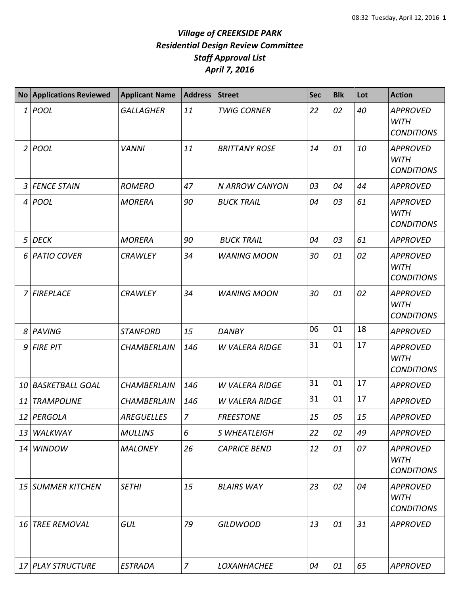|           | No Applications Reviewed | <b>Applicant Name</b> | <b>Address</b> | <b>Street</b>         | <b>Sec</b> | <b>Blk</b> | Lot | <b>Action</b>                                       |
|-----------|--------------------------|-----------------------|----------------|-----------------------|------------|------------|-----|-----------------------------------------------------|
| 1         | <b>POOL</b>              | <b>GALLAGHER</b>      | 11             | <b>TWIG CORNER</b>    | 22         | 02         | 40  | <b>APPROVED</b><br><b>WITH</b><br><b>CONDITIONS</b> |
|           | 2 POOL                   | <b>VANNI</b>          | 11             | <b>BRITTANY ROSE</b>  | 14         | 01         | 10  | <b>APPROVED</b><br><b>WITH</b><br><b>CONDITIONS</b> |
| 3         | <b>FENCE STAIN</b>       | <b>ROMERO</b>         | 47             | N ARROW CANYON        | 03         | 04         | 44  | <b>APPROVED</b>                                     |
|           | 4 POOL                   | <b>MORERA</b>         | 90             | <b>BUCK TRAIL</b>     | 04         | 03         | 61  | <b>APPROVED</b><br><b>WITH</b><br><b>CONDITIONS</b> |
| 5         | <b>DECK</b>              | <b>MORERA</b>         | 90             | <b>BUCK TRAIL</b>     | 04         | 03         | 61  | <b>APPROVED</b>                                     |
| 6         | <b>PATIO COVER</b>       | <b>CRAWLEY</b>        | 34             | <b>WANING MOON</b>    | 30         | 01         | 02  | <b>APPROVED</b><br><b>WITH</b><br><b>CONDITIONS</b> |
| 7         | <b>FIREPLACE</b>         | <b>CRAWLEY</b>        | 34             | <b>WANING MOON</b>    | 30         | 01         | 02  | <b>APPROVED</b><br><b>WITH</b><br><b>CONDITIONS</b> |
| 8         | <b>PAVING</b>            | <b>STANFORD</b>       | 15             | <b>DANBY</b>          | 06         | 01         | 18  | <b>APPROVED</b>                                     |
| 9         | <b>FIRE PIT</b>          | <b>CHAMBERLAIN</b>    | 146            | <b>W VALERA RIDGE</b> | 31         | 01         | 17  | <b>APPROVED</b><br><b>WITH</b><br><b>CONDITIONS</b> |
| <i>10</i> | <b>BASKETBALL GOAL</b>   | <b>CHAMBERLAIN</b>    | 146            | <b>W VALERA RIDGE</b> | 31         | 01         | 17  | <b>APPROVED</b>                                     |
| 11        | <b>TRAMPOLINE</b>        | <b>CHAMBERLAIN</b>    | 146            | <b>W VALERA RIDGE</b> | 31         | 01         | 17  | <b>APPROVED</b>                                     |
|           | 12 PERGOLA               | <b>AREGUELLES</b>     | $\overline{7}$ | <b>FREESTONE</b>      | 15         | 05         | 15  | <b>APPROVED</b>                                     |
| 13        | WALKWAY                  | <b>MULLINS</b>        | 6              | S WHEATLEIGH          | 22         | 02         | 49  | <b>APPROVED</b>                                     |
|           | 14 WINDOW                | <b>MALONEY</b>        | 26             | <b>CAPRICE BEND</b>   | 12         | 01         | 07  | <b>APPROVED</b><br><b>WITH</b><br><b>CONDITIONS</b> |
|           | 15 SUMMER KITCHEN        | <b>SETHI</b>          | 15             | <b>BLAIRS WAY</b>     | 23         | 02         | 04  | <b>APPROVED</b><br><b>WITH</b><br><b>CONDITIONS</b> |
|           | 16 TREE REMOVAL          | GUL                   | 79             | <b>GILDWOOD</b>       | 13         | 01         | 31  | <b>APPROVED</b>                                     |
|           | 17 PLAY STRUCTURE        | <b>ESTRADA</b>        | $\overline{z}$ | <b>LOXANHACHEE</b>    | 04         | 01         | 65  | <b>APPROVED</b>                                     |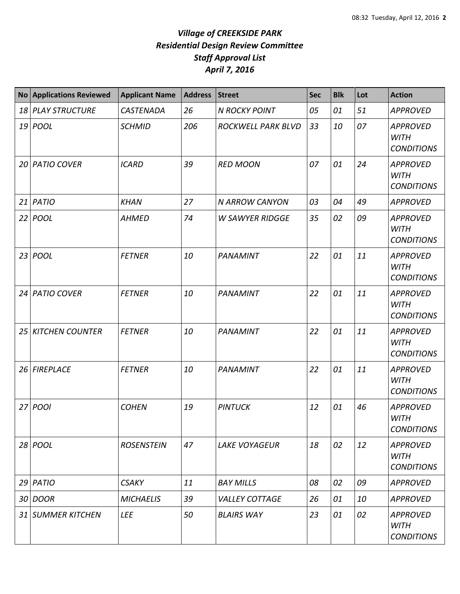|    | <b>No Applications Reviewed</b> | <b>Applicant Name</b> | <b>Address</b> | <b>Street</b>          | <b>Sec</b> | <b>Blk</b> | Lot | <b>Action</b>                                       |
|----|---------------------------------|-----------------------|----------------|------------------------|------------|------------|-----|-----------------------------------------------------|
|    | 18 PLAY STRUCTURE               | <b>CASTENADA</b>      | 26             | <b>N ROCKY POINT</b>   | 05         | 01         | 51  | <b>APPROVED</b>                                     |
|    | 19 <i>POOL</i>                  | <b>SCHMID</b>         | 206            | ROCKWELL PARK BLVD     | 33         | 10         | 07  | <b>APPROVED</b><br><b>WITH</b><br><b>CONDITIONS</b> |
|    | 20 PATIO COVER                  | <b>ICARD</b>          | 39             | <b>RED MOON</b>        | 07         | 01         | 24  | <b>APPROVED</b><br><b>WITH</b><br><b>CONDITIONS</b> |
| 21 | PATIO                           | <b>KHAN</b>           | 27             | N ARROW CANYON         | 03         | 04         | 49  | <b>APPROVED</b>                                     |
| 22 | <b>POOL</b>                     | <b>AHMED</b>          | 74             | <b>W SAWYER RIDGGE</b> | 35         | 02         | 09  | <b>APPROVED</b><br><b>WITH</b><br><b>CONDITIONS</b> |
|    | 23   POOL                       | <b>FETNER</b>         | 10             | PANAMINT               | 22         | 01         | 11  | <b>APPROVED</b><br><b>WITH</b><br><b>CONDITIONS</b> |
| 24 | <b>PATIO COVER</b>              | <b>FETNER</b>         | 10             | PANAMINT               | 22         | 01         | 11  | <b>APPROVED</b><br><b>WITH</b><br><b>CONDITIONS</b> |
| 25 | <b>KITCHEN COUNTER</b>          | <b>FETNER</b>         | 10             | PANAMINT               | 22         | 01         | 11  | <b>APPROVED</b><br><b>WITH</b><br><b>CONDITIONS</b> |
| 26 | <b>FIREPLACE</b>                | <b>FETNER</b>         | 10             | PANAMINT               | 22         | 01         | 11  | <b>APPROVED</b><br><b>WITH</b><br><b>CONDITIONS</b> |
| 27 | POOI                            | <b>COHEN</b>          | 19             | <b>PINTUCK</b>         | 12         | 01         | 46  | <b>APPROVED</b><br><b>WITH</b><br><b>CONDITIONS</b> |
|    | 28 POOL                         | <b>ROSENSTEIN</b>     | 47             | <b>LAKE VOYAGEUR</b>   | 18         | 02         | 12  | <b>APPROVED</b><br><b>WITH</b><br><b>CONDITIONS</b> |
|    | $29$ PATIO                      | <b>CSAKY</b>          | 11             | <b>BAY MILLS</b>       | 08         | 02         | 09  | <b>APPROVED</b>                                     |
|    | 30 DOOR                         | <b>MICHAELIS</b>      | 39             | <b>VALLEY COTTAGE</b>  | 26         | 01         | 10  | <b>APPROVED</b>                                     |
|    | 31 SUMMER KITCHEN               | LEE                   | 50             | <b>BLAIRS WAY</b>      | 23         | 01         | 02  | <b>APPROVED</b><br><b>WITH</b><br><b>CONDITIONS</b> |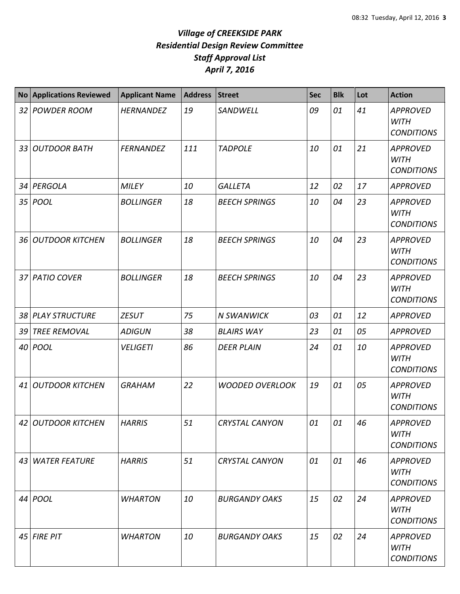|                 | <b>No Applications Reviewed</b> | <b>Applicant Name</b> | <b>Address</b> | <b>Street</b>          | <b>Sec</b> | <b>Blk</b> | Lot | <b>Action</b>                                       |
|-----------------|---------------------------------|-----------------------|----------------|------------------------|------------|------------|-----|-----------------------------------------------------|
| 32              | <b>POWDER ROOM</b>              | <b>HERNANDEZ</b>      | 19             | SANDWELL               | 09         | 01         | 41  | <b>APPROVED</b><br><b>WITH</b><br><b>CONDITIONS</b> |
| 33              | <b>OUTDOOR BATH</b>             | <b>FERNANDEZ</b>      | 111            | <b>TADPOLE</b>         | 10         | 01         | 21  | <b>APPROVED</b><br><b>WITH</b><br><b>CONDITIONS</b> |
| 34              | PERGOLA                         | <b>MILEY</b>          | 10             | <b>GALLETA</b>         | 12         | 02         | 17  | <b>APPROVED</b>                                     |
| 35              | <b>POOL</b>                     | <b>BOLLINGER</b>      | 18             | <b>BEECH SPRINGS</b>   | 10         | 04         | 23  | <b>APPROVED</b><br><b>WITH</b><br><b>CONDITIONS</b> |
| 36              | <b>OUTDOOR KITCHEN</b>          | <b>BOLLINGER</b>      | 18             | <b>BEECH SPRINGS</b>   | 10         | 04         | 23  | <b>APPROVED</b><br><b>WITH</b><br><b>CONDITIONS</b> |
| 37 <sup>1</sup> | <b>PATIO COVER</b>              | <b>BOLLINGER</b>      | 18             | <b>BEECH SPRINGS</b>   | 10         | 04         | 23  | <b>APPROVED</b><br><b>WITH</b><br><b>CONDITIONS</b> |
| 38              | <b>PLAY STRUCTURE</b>           | <b>ZESUT</b>          | 75             | <b>N SWANWICK</b>      | 03         | 01         | 12  | <b>APPROVED</b>                                     |
| 39              | <b>TREE REMOVAL</b>             | <b>ADIGUN</b>         | 38             | <b>BLAIRS WAY</b>      | 23         | 01         | 05  | <b>APPROVED</b>                                     |
| 40              | <b>POOL</b>                     | <b>VELIGETI</b>       | 86             | <b>DEER PLAIN</b>      | 24         | 01         | 10  | <b>APPROVED</b><br><b>WITH</b><br><b>CONDITIONS</b> |
| 41              | <b>OUTDOOR KITCHEN</b>          | <b>GRAHAM</b>         | 22             | <b>WOODED OVERLOOK</b> | 19         | 01         | 05  | <b>APPROVED</b><br><b>WITH</b><br><b>CONDITIONS</b> |
|                 | 42 OUTDOOR KITCHEN              | <b>HARRIS</b>         | 51             | CRYSTAL CANYON         | 01         | 01         | 46  | <b>APPROVED</b><br><b>WITH</b><br><b>CONDITIONS</b> |
|                 | 43 WATER FEATURE                | <b>HARRIS</b>         | 51             | <b>CRYSTAL CANYON</b>  | 01         | 01         | 46  | <b>APPROVED</b><br><b>WITH</b><br><b>CONDITIONS</b> |
|                 | 44 <i>POOL</i>                  | <b>WHARTON</b>        | 10             | <b>BURGANDY OAKS</b>   | 15         | 02         | 24  | <b>APPROVED</b><br><b>WITH</b><br><b>CONDITIONS</b> |
| 45              | <b>FIRE PIT</b>                 | <b>WHARTON</b>        | 10             | <b>BURGANDY OAKS</b>   | 15         | 02         | 24  | <b>APPROVED</b><br>WITH<br><b>CONDITIONS</b>        |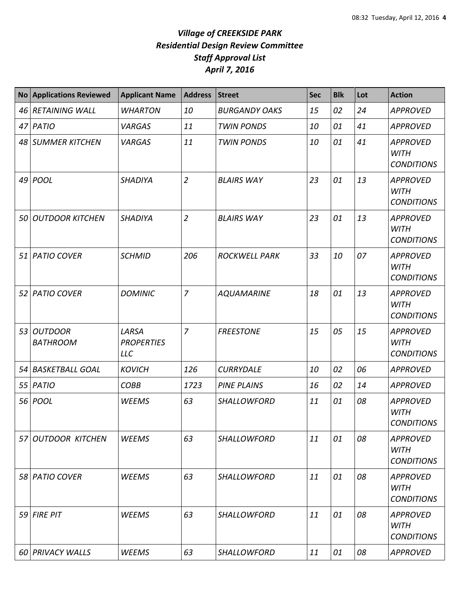| <b>No</b> | <b>Applications Reviewed</b>      | <b>Applicant Name</b>                    | <b>Address</b> | <b>Street</b>        | <b>Sec</b> | <b>Blk</b> | Lot | <b>Action</b>                                       |
|-----------|-----------------------------------|------------------------------------------|----------------|----------------------|------------|------------|-----|-----------------------------------------------------|
|           | 46 RETAINING WALL                 | <b>WHARTON</b>                           | 10             | <b>BURGANDY OAKS</b> | 15         | 02         | 24  | <b>APPROVED</b>                                     |
|           | 47 PATIO                          | <b>VARGAS</b>                            | 11             | <b>TWIN PONDS</b>    | 10         | 01         | 41  | <b>APPROVED</b>                                     |
|           | 48 SUMMER KITCHEN                 | <b>VARGAS</b>                            | 11             | <b>TWIN PONDS</b>    | 10         | 01         | 41  | <b>APPROVED</b><br><b>WITH</b><br><b>CONDITIONS</b> |
| 49        | POOL                              | <b>SHADIYA</b>                           | $\overline{2}$ | <b>BLAIRS WAY</b>    | 23         | 01         | 13  | <b>APPROVED</b><br><b>WITH</b><br><b>CONDITIONS</b> |
| 50        | <b>OUTDOOR KITCHEN</b>            | <b>SHADIYA</b>                           | $\overline{2}$ | <b>BLAIRS WAY</b>    | 23         | 01         | 13  | <b>APPROVED</b><br><b>WITH</b><br><b>CONDITIONS</b> |
|           | 51 PATIO COVER                    | <b>SCHMID</b>                            | 206            | <b>ROCKWELL PARK</b> | 33         | 10         | 07  | <b>APPROVED</b><br><b>WITH</b><br><b>CONDITIONS</b> |
| 52        | <b>PATIO COVER</b>                | <b>DOMINIC</b>                           | $\overline{7}$ | <b>AQUAMARINE</b>    | 18         | 01         | 13  | <b>APPROVED</b><br><b>WITH</b><br><b>CONDITIONS</b> |
| 53        | <b>OUTDOOR</b><br><b>BATHROOM</b> | LARSA<br><b>PROPERTIES</b><br><b>LLC</b> | $\overline{z}$ | <b>FREESTONE</b>     | 15         | 05         | 15  | <b>APPROVED</b><br><b>WITH</b><br><b>CONDITIONS</b> |
| 54        | <b>BASKETBALL GOAL</b>            | <b>KOVICH</b>                            | 126            | <b>CURRYDALE</b>     | 10         | 02         | 06  | <b>APPROVED</b>                                     |
| 55        | <b>PATIO</b>                      | <b>COBB</b>                              | 1723           | <b>PINE PLAINS</b>   | 16         | 02         | 14  | <b>APPROVED</b>                                     |
| 56        | <b>POOL</b>                       | <b>WEEMS</b>                             | 63             | SHALLOWFORD          | 11         | 01         | 08  | <b>APPROVED</b><br><b>WITH</b><br><b>CONDITIONS</b> |
|           | 57 OUTDOOR KITCHEN                | <b>WEEMS</b>                             | 63             | SHALLOWFORD          | 11         | 01         | 08  | <b>APPROVED</b><br><b>WITH</b><br><b>CONDITIONS</b> |
|           | 58 PATIO COVER                    | <b>WEEMS</b>                             | 63             | <b>SHALLOWFORD</b>   | 11         | 01         | 08  | <b>APPROVED</b><br><b>WITH</b><br><b>CONDITIONS</b> |
| 59        | <b>FIRE PIT</b>                   | <b>WEEMS</b>                             | 63             | <b>SHALLOWFORD</b>   | 11         | 01         | 08  | <b>APPROVED</b><br><b>WITH</b><br><b>CONDITIONS</b> |
| 60 I      | <b>PRIVACY WALLS</b>              | <b>WEEMS</b>                             | 63             | SHALLOWFORD          | 11         | 01         | 08  | <b>APPROVED</b>                                     |